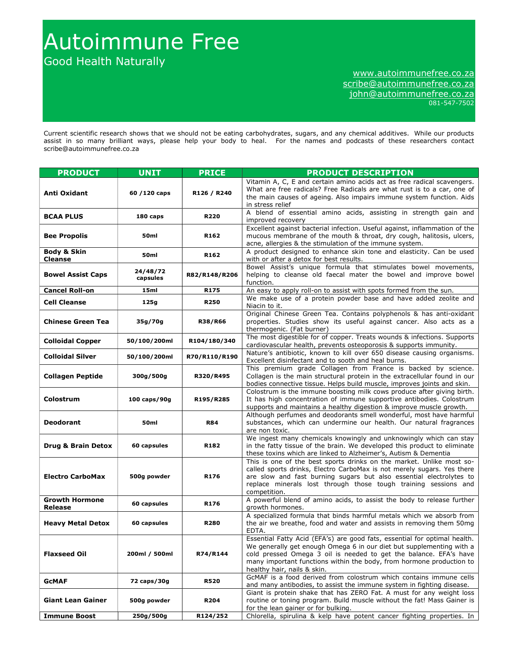# Autoimmune Free

Good Health Naturally

## www.autoimmunefree.co.za scribe@autoimmunefree.co.za john@autoimmunefree.co.za 081-547-7502

Current scientific research shows that we should not be eating carbohydrates, sugars, and any chemical additives. While our products assist in so many brilliant ways, please help your body to heal. For the names and podcasts of these researchers contact scribe@autoimmunefree.co.za

| <b>PRODUCT</b>                           | <b>UNIT</b>          | <b>PRICE</b>     | <b>PRODUCT DESCRIPTION</b>                                                                                                                                                                                                                                                                                                    |
|------------------------------------------|----------------------|------------------|-------------------------------------------------------------------------------------------------------------------------------------------------------------------------------------------------------------------------------------------------------------------------------------------------------------------------------|
| Anti Oxidant                             | 60 / 120 caps        | R126 / R240      | Vitamin A, C, E and certain amino acids act as free radical scavengers.<br>What are free radicals? Free Radicals are what rust is to a car, one of<br>the main causes of ageing. Also impairs immune system function. Aids<br>in stress relief                                                                                |
| <b>BCAA PLUS</b>                         | 180 caps             | <b>R220</b>      | A blend of essential amino acids, assisting in strength gain and<br>improved recovery                                                                                                                                                                                                                                         |
| <b>Bee Propolis</b>                      | 50ml                 | R162             | Excellent against bacterial infection. Useful against, inflammation of the<br>mucous membrane of the mouth & throat, dry cough, halitosis, ulcers,<br>acne, allergies & the stimulation of the immune system.                                                                                                                 |
| <b>Body &amp; Skin</b><br><b>Cleanse</b> | 50 <sub>ml</sub>     | R <sub>162</sub> | A product designed to enhance skin tone and elasticity. Can be used<br>with or after a detox for best results.                                                                                                                                                                                                                |
| <b>Bowel Assist Caps</b>                 | 24/48/72<br>capsules | R82/R148/R206    | Bowel Assist's unique formula that stimulates bowel movements,<br>helping to cleanse old faecal mater the bowel and improve bowel<br>function.                                                                                                                                                                                |
| <b>Cancel Roll-on</b>                    | 15ml                 | R175             | An easy to apply roll-on to assist with spots formed from the sun.                                                                                                                                                                                                                                                            |
| <b>Cell Cleanse</b>                      | 125g                 | <b>R250</b>      | We make use of a protein powder base and have added zeolite and<br>Niacin to it.                                                                                                                                                                                                                                              |
| <b>Chinese Green Tea</b>                 | 35g/70g              | <b>R38/R66</b>   | Original Chinese Green Tea. Contains polyphenols & has anti-oxidant<br>properties. Studies show its useful against cancer. Also acts as a<br>thermogenic. (Fat burner)                                                                                                                                                        |
| <b>Colloidal Copper</b>                  | 50/100/200ml         | R104/180/340     | The most digestible for of copper. Treats wounds & infections. Supports<br>cardiovascular health, prevents osteoporosis & supports immunity.                                                                                                                                                                                  |
| <b>Colloidal Silver</b>                  | 50/100/200ml         | R70/R110/R190    | Nature's antibiotic, known to kill over 650 disease causing organisms.<br>Excellent disinfectant and to sooth and heal burns.                                                                                                                                                                                                 |
| <b>Collagen Peptide</b>                  | 300g/500g            | R320/R495        | This premium grade Collagen from France is backed by science.<br>Collagen is the main structural protein in the extracellular found in our<br>bodies connective tissue. Helps build muscle, improves joints and skin.                                                                                                         |
| Colostrum                                | 100 caps/90g         | R195/R285        | Colostrum is the immune boosting milk cows produce after giving birth.<br>It has high concentration of immune supportive antibodies. Colostrum<br>supports and maintains a healthy digestion & improve muscle growth.                                                                                                         |
| <b>Deodorant</b>                         | 50 <sub>ml</sub>     | <b>R84</b>       | Although perfumes and deodorants smell wonderful, most have harmful<br>substances, which can undermine our health. Our natural fragrances<br>are non toxic.                                                                                                                                                                   |
| <b>Drug &amp; Brain Detox</b>            | 60 capsules          | R182             | We ingest many chemicals knowingly and unknowingly which can stay<br>in the fatty tissue of the brain. We developed this product to eliminate<br>these toxins which are linked to Alzheimer's, Autism & Dementia                                                                                                              |
| <b>Electro CarboMax</b>                  | 500g powder          | R176             | This is one of the best sports drinks on the market. Unlike most so-<br>called sports drinks, Electro CarboMax is not merely sugars. Yes there<br>are slow and fast burning sugars but also essential electrolytes to<br>replace minerals lost through those tough training sessions and<br>competition.                      |
| <b>Growth Hormone</b><br>Release         | 60 capsules          | R176             | A powerful blend of amino acids, to assist the body to release further<br>growth hormones.                                                                                                                                                                                                                                    |
| <b>Heavy Metal Detox</b>                 | 60 capsules          | <b>R280</b>      | A specialized formula that binds harmful metals which we absorb from<br>the air we breathe, food and water and assists in removing them 50mg<br>EDTA.                                                                                                                                                                         |
| <b>Flaxseed Oil</b>                      | 200ml / 500ml        | R74/R144         | Essential Fatty Acid (EFA's) are good fats, essential for optimal health.<br>We generally get enough Omega 6 in our diet but supplementing with a<br>cold pressed Omega 3 oil is needed to get the balance. EFA's have<br>many important functions within the body, from hormone production to<br>healthy hair, nails & skin. |
| <b>GCMAF</b>                             | 72 caps/30g          | <b>R520</b>      | GcMAF is a food derived from colostrum which contains immune cells<br>and many antibodies, to assist the immune system in fighting disease.                                                                                                                                                                                   |
| <b>Giant Lean Gainer</b>                 | 500g powder          | R204             | Giant is protein shake that has ZERO Fat. A must for any weight loss<br>routine or toning program. Build muscle without the fat! Mass Gainer is<br>for the lean gainer or for bulking.                                                                                                                                        |
| <b>Immune Boost</b>                      | 250g/500g            | R124/252         | Chlorella, spirulina & kelp have potent cancer fighting properties. In                                                                                                                                                                                                                                                        |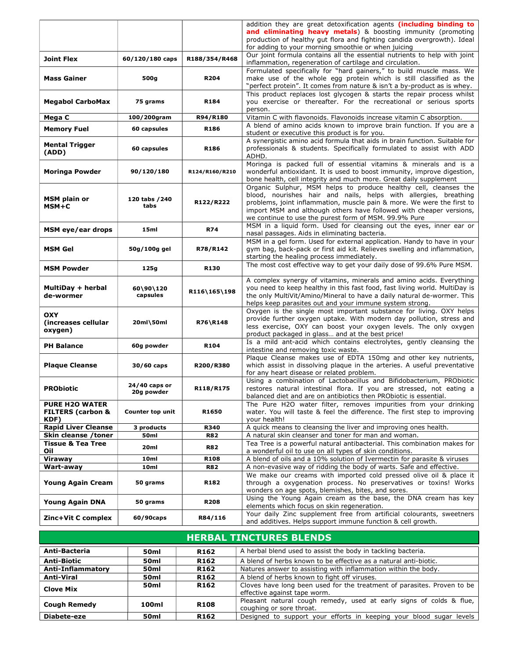|                                    |                         |                  | addition they are great detoxification agents (including binding to<br>and eliminating heavy metals) & boosting immunity (promoting                   |
|------------------------------------|-------------------------|------------------|-------------------------------------------------------------------------------------------------------------------------------------------------------|
|                                    |                         |                  | production of healthy gut flora and fighting candida overgrowth). Ideal                                                                               |
|                                    |                         |                  | for adding to your morning smoothie or when juicing                                                                                                   |
| <b>Joint Flex</b>                  | 60/120/180 caps         | R188/354/R468    | Our joint formula contains all the essential nutrients to help with joint<br>inflammation, regeneration of cartilage and circulation.                 |
|                                    |                         |                  | Formulated specifically for "hard gainers," to build muscle mass. We                                                                                  |
| <b>Mass Gainer</b>                 | 500g                    | R204             | make use of the whole egg protein which is still classified as the                                                                                    |
|                                    |                         |                  | "perfect protein". It comes from nature & isn't a by-product as is whey.<br>This product replaces lost glycogen & starts the repair process whilst    |
| <b>Megabol CarboMax</b>            | 75 grams                | R184             | you exercise or thereafter. For the recreational or serious sports                                                                                    |
|                                    |                         |                  | person.                                                                                                                                               |
| Mega C                             | 100/200gram             | R94/R180         | Vitamin C with flavonoids. Flavonoids increase vitamin C absorption.                                                                                  |
| <b>Memory Fuel</b>                 | 60 capsules             | R186             | A blend of amino acids known to improve brain function. If you are a<br>student or executive this product is for you.                                 |
| <b>Mental Trigger</b>              |                         |                  | A synergistic amino acid formula that aids in brain function. Suitable for                                                                            |
| (ADD)                              | 60 capsules             | R186             | professionals & students. Specifically formulated to assist with ADD                                                                                  |
|                                    |                         |                  | ADHD.<br>Moringa is packed full of essential vitamins & minerals and is a                                                                             |
| <b>Moringa Powder</b>              | 90/120/180              | R124/R160/R210   | wonderful antioxidant. It is used to boost immunity, improve digestion,                                                                               |
|                                    |                         |                  | bone health, cell integrity and much more. Great daily supplement                                                                                     |
|                                    |                         |                  | Organic Sulphur, MSM helps to produce healthy cell, cleanses the                                                                                      |
| <b>MSM plain or</b>                | 120 tabs / 240          | R122/R222        | blood, nourishes hair and nails, helps with allergies, breathing<br>problems, joint inflammation, muscle pain & more. We were the first to            |
| $MSM+C$                            | tabs                    |                  | import MSM and although others have followed with cheaper versions,                                                                                   |
|                                    |                         |                  | we continue to use the purest form of MSM. 99.9% Pure                                                                                                 |
| MSM eye/ear drops                  | 15ml                    | <b>R74</b>       | MSM in a liquid form. Used for cleansing out the eyes, inner ear or<br>nasal passages. Aids in eliminating bacteria.                                  |
|                                    |                         |                  | MSM in a gel form. Used for external application. Handy to have in your                                                                               |
| <b>MSM Gel</b>                     | 50g/100g gel            | R78/R142         | gym bag, back-pack or first aid kit. Relieves swelling and inflammation,                                                                              |
|                                    |                         |                  | starting the healing process immediately.                                                                                                             |
| <b>MSM Powder</b>                  | 125g                    | R130             | The most cost effective way to get your daily dose of 99.6% Pure MSM.                                                                                 |
|                                    |                         |                  | A complex synergy of vitamins, minerals and amino acids. Everything                                                                                   |
| MultiDay + herbal<br>de-wormer     | 60\90\120<br>capsules   | R116\165\198     | you need to keep healthy in this fast food, fast living world. MultiDay is<br>the only MultiVit/Amino/Mineral to have a daily natural de-wormer. This |
|                                    |                         |                  | helps keep parasites out and your immune system strong.                                                                                               |
| <b>OXY</b>                         |                         |                  | Oxygen is the single most important substance for living. OXY helps                                                                                   |
| (increases cellular)               | 20ml\50ml               | R76\R148         | provide further oxygen uptake. With modern day pollution, stress and<br>less exercise, OXY can boost your oxygen levels. The only oxygen              |
| oxygen)                            |                         |                  | product packaged in glass and at the best price!                                                                                                      |
| <b>PH Balance</b>                  | 60g powder              | R <sub>104</sub> | Is a mild ant-acid which contains electrolytes, gently cleansing the                                                                                  |
|                                    |                         |                  | intestine and removing toxic waste.<br>Plaque Cleanse makes use of EDTA 150mg and other key nutrients,                                                |
| <b>Plaque Cleanse</b>              | $30/60$ caps            | R200/R380        | which assist in dissolving plaque in the arteries. A useful preventative                                                                              |
|                                    |                         |                  | for any heart disease or related problem.                                                                                                             |
|                                    | 24/40 caps or           |                  | Using a combination of Lactobacillus and Bifidobacterium, PRObiotic                                                                                   |
| <b>PRObiotic</b>                   | 20g powder              | R118/R175        | restores natural intestinal flora. If you are stressed, not eating a<br>balanced diet and are on antibiotics then PRObiotic is essential.             |
| <b>PURE H2O WATER</b>              |                         |                  | The Pure H2O water filter, removes impurities from your drinking                                                                                      |
| <b>FILTERS (carbon &amp;</b>       | <b>Counter top unit</b> | R1650            | water. You will taste & feel the difference. The first step to improving                                                                              |
| KDF)<br><b>Rapid Liver Cleanse</b> | 3 products              | R340             | your health!<br>A quick means to cleansing the liver and improving ones health.                                                                       |
| Skin cleanse /toner                | 50ml                    | <b>R82</b>       | A natural skin cleanser and toner for man and woman.                                                                                                  |
| <b>Tissue &amp; Tea Tree</b>       | 20ml                    | <b>R82</b>       | Tea Tree is a powerful natural antibacterial. This combination makes for                                                                              |
| Oil<br>Viraway                     | 10ml                    | R108             | a wonderful oil to use on all types of skin conditions.<br>A blend of oils and a 10% solution of Ivermectin for parasite & viruses                    |
| Wart-away                          | 10ml                    | <b>R82</b>       | A non-evasive way of ridding the body of warts. Safe and effective.                                                                                   |
|                                    |                         |                  | We make our creams with imported cold pressed olive oil & place it                                                                                    |
| <b>Young Again Cream</b>           | 50 grams                | R182             | through a oxygenation process. No preservatives or toxins! Works                                                                                      |
|                                    |                         |                  | wonders on age spots, blemishes, bites, and sores.<br>Using the Young Again cream as the base, the DNA cream has key                                  |
| <b>Young Again DNA</b>             | 50 grams                | <b>R208</b>      | elements which focus on skin regeneration.                                                                                                            |
| Zinc+Vit C complex                 | 60/90caps               | R84/116          | Your daily Zinc supplement free from artificial colourants, sweetners                                                                                 |
|                                    |                         |                  | and additives. Helps support immune function & cell growth.                                                                                           |

| <b>HERBAL TINCTURES BLENDS</b> |                                                                                                        |                  |                                                                                                         |
|--------------------------------|--------------------------------------------------------------------------------------------------------|------------------|---------------------------------------------------------------------------------------------------------|
| Anti-Bacteria                  | 50 <sub>ml</sub>                                                                                       | R <sub>162</sub> | A herbal blend used to assist the body in tackling bacteria.                                            |
| <b>Anti-Biotic</b>             | 50 <sub>ml</sub>                                                                                       | R <sub>162</sub> | A blend of herbs known to be effective as a natural anti-biotic.                                        |
| Anti-Inflammatory              | Natures answer to assisting with inflammation within the body.<br>50 <sub>ml</sub><br>R <sub>162</sub> |                  |                                                                                                         |
| <b>Anti-Viral</b>              | 50 <sub>ml</sub>                                                                                       | R <sub>162</sub> | A blend of herbs known to fight off viruses.                                                            |
| <b>Clove Mix</b>               | 50ml                                                                                                   | R <sub>162</sub> | Cloves have long been used for the treatment of parasites. Proven to be<br>effective against tape worm. |
| <b>Cough Remedy</b>            | 100ml                                                                                                  | <b>R108</b>      | Pleasant natural cough remedy, used at early signs of colds & flue,<br>coughing or sore throat.         |
| Diabete-eze                    | 50 <sub>ml</sub>                                                                                       | R <sub>162</sub> | Designed to support your efforts in keeping your blood sugar levels                                     |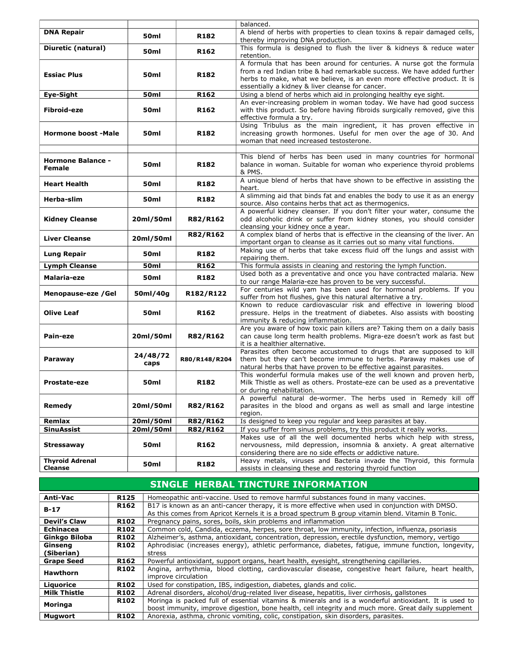|                                           |                  |                  | balanced.                                                                                                                                                                                                                                                                        |
|-------------------------------------------|------------------|------------------|----------------------------------------------------------------------------------------------------------------------------------------------------------------------------------------------------------------------------------------------------------------------------------|
| <b>DNA Repair</b>                         | 50 <sub>ml</sub> | R182             | A blend of herbs with properties to clean toxins & repair damaged cells,<br>thereby improving DNA production.                                                                                                                                                                    |
| Diuretic (natural)                        | 50ml             | R162             | This formula is designed to flush the liver & kidneys & reduce water<br>retention.                                                                                                                                                                                               |
| <b>Essiac Plus</b>                        | 50ml             | R182             | A formula that has been around for centuries. A nurse got the formula<br>from a red Indian tribe & had remarkable success. We have added further<br>herbs to make, what we believe, is an even more effective product. It is<br>essentially a kidney & liver cleanse for cancer. |
| Eye-Sight                                 | 50ml             | R <sub>162</sub> | Using a blend of herbs which aid in prolonging healthy eye sight.                                                                                                                                                                                                                |
| Fibroid-eze                               | 50 <sub>ml</sub> | R162             | An ever-increasing problem in woman today. We have had good success<br>with this product. So before having fibroids surgically removed, give this<br>effective formula a try.                                                                                                    |
| <b>Hormone boost -Male</b>                | 50 <sub>ml</sub> | R182             | Using Tribulus as the main ingredient, it has proven effective in<br>increasing growth hormones. Useful for men over the age of 30. And<br>woman that need increased testosterone.                                                                                               |
|                                           |                  |                  |                                                                                                                                                                                                                                                                                  |
| <b>Hormone Balance -</b><br><b>Female</b> | 50 <sub>ml</sub> | R182             | This blend of herbs has been used in many countries for hormonal<br>balance in woman. Suitable for woman who experience thyroid problems<br>& PMS.                                                                                                                               |
| <b>Heart Health</b>                       | 50 <sub>ml</sub> | R182             | A unique blend of herbs that have shown to be effective in assisting the<br>heart.                                                                                                                                                                                               |
| Herba-slim                                | 50ml             | R182             | A slimming aid that binds fat and enables the body to use it as an energy<br>source. Also contains herbs that act as thermogenics.                                                                                                                                               |
| <b>Kidney Cleanse</b>                     | 20ml/50ml        | R82/R162         | A powerful kidney cleanser. If you don't filter your water, consume the<br>odd alcoholic drink or suffer from kidney stones, you should consider<br>cleansing your kidney once a year.                                                                                           |
| <b>Liver Cleanse</b>                      | 20ml/50ml        | R82/R162         | A complex bland of herbs that is effective in the cleansing of the liver. An<br>important organ to cleanse as it carries out so many vital functions.                                                                                                                            |
| Lung Repair                               | 50 <sub>ml</sub> | R182             | Making use of herbs that take excess fluid off the lungs and assist with<br>repairing them.                                                                                                                                                                                      |
| <b>Lymph Cleanse</b>                      | 50ml             | R162             | This formula assists in cleaning and restoring the lymph function.                                                                                                                                                                                                               |
| Malaria-eze                               | <b>50ml</b>      | R182             | Used both as a preventative and once you have contracted malaria. New<br>to our range Malaria-eze has proven to be very successful.                                                                                                                                              |
| Menopause-eze / Gel                       | 50ml/40g         | R182/R122        | For centuries wild yam has been used for hormonal problems. If you<br>suffer from hot flushes, give this natural alternative a try.                                                                                                                                              |
| <b>Olive Leaf</b>                         | 50 <sub>ml</sub> | R162             | Known to reduce cardiovascular risk and effective in lowering blood<br>pressure. Helps in the treatment of diabetes. Also assists with boosting<br>immunity & reducing inflammation.                                                                                             |
| Pain-eze                                  | 20ml/50ml        | R82/R162         | Are you aware of how toxic pain killers are? Taking them on a daily basis<br>can cause long term health problems. Migra-eze doesn't work as fast but<br>it is a healthier alternative.                                                                                           |
| Paraway                                   | 24/48/72<br>caps | R80/R148/R204    | Parasites often become accustomed to drugs that are supposed to kill<br>them but they can't become immune to herbs. Paraway makes use of<br>natural herbs that have proven to be effective against parasites.                                                                    |
| <b>Prostate-eze</b>                       | 50ml             | R182             | This wonderful formula makes use of the well known and proven herb,<br>Milk Thistle as well as others. Prostate-eze can be used as a preventative<br>or during rehabilitation.                                                                                                   |
| Remedy                                    | 20ml/50ml        | R82/R162         | A powerful natural de-wormer. The herbs used in Remedy kill off<br>parasites in the blood and organs as well as small and large intestine<br>region.                                                                                                                             |
| Remlax                                    | 20ml/50ml        | R82/R162         | Is designed to keep you regular and keep parasites at bay.                                                                                                                                                                                                                       |
| <b>SinuAssist</b>                         | 20ml/50ml        | R82/R162         | If you suffer from sinus problems, try this product it really works.                                                                                                                                                                                                             |
| Stressaway                                | 50ml             | R162             | Makes use of all the well documented herbs which help with stress,<br>nervousness, mild depression, insomnia & anxiety. A great alternative<br>considering there are no side effects or addictive nature.                                                                        |
| <b>Thyroid Adrenal</b><br>Cleanse         | 50ml             | R182             | Heavy metals, viruses and Bacteria invade the Thyroid, this formula<br>assists in cleansing these and restoring thyroid function                                                                                                                                                 |

|                     |                  | SINGLE HERBAL TINCTURE INFORMATION                                                                                                                                                                    |
|---------------------|------------------|-------------------------------------------------------------------------------------------------------------------------------------------------------------------------------------------------------|
| Anti-Vac            | <b>R125</b>      | Homeopathic anti-vaccine. Used to remove harmful substances found in many vaccines.                                                                                                                   |
| $B-17$              | R162             | B17 is known as an anti-cancer therapy, it is more effective when used in conjunction with DMSO.<br>As this comes from Apricot Kernels it is a broad spectrum B group vitamin blend. Vitamin B Tonic. |
| <b>Devil's Claw</b> | <b>R102</b>      | Pregnancy pains, sores, boils, skin problems and inflammation                                                                                                                                         |
| Echinacea           | R102             | Common cold, Candida, eczema, herpes, sore throat, low immunity, infection, influenza, psoriasis                                                                                                      |
| Ginkgo Biloba       | <b>R102</b>      | Alzheimer's, asthma, antioxidant, concentration, depression, erectile dysfunction, memory, vertigo                                                                                                    |
| Ginsena             | <b>R102</b>      | Aphrodisiac (increases energy), athletic performance, diabetes, fatique, immune function, longevity,                                                                                                  |
| (Siberian)          |                  | stress                                                                                                                                                                                                |
| <b>Grape Seed</b>   | <b>R162</b>      | Powerful antioxidant, support organs, heart health, eyesight, strengthening capillaries.                                                                                                              |
| <b>Hawthorn</b>     | <b>R102</b>      | Angina, arrhythmia, blood clotting, cardiovascular disease, congestive heart failure, heart health,<br>improve circulation                                                                            |
| Liquorice           | <b>R102</b>      | Used for constipation, IBS, indigestion, diabetes, glands and colic.                                                                                                                                  |
| <b>Milk Thistle</b> | <b>R102</b>      | Adrenal disorders, alcohol/drug-related liver disease, hepatitis, liver cirrhosis, gallstones                                                                                                         |
| Moringa             | <b>R102</b>      | Moringa is packed full of essential vitamins & minerals and is a wonderful antioxidant. It is used to                                                                                                 |
|                     |                  | boost immunity, improve digestion, bone health, cell integrity and much more. Great daily supplement                                                                                                  |
| Mugwort             | R <sub>102</sub> | Anorexia, asthma, chronic vomiting, colic, constipation, skin disorders, parasites.                                                                                                                   |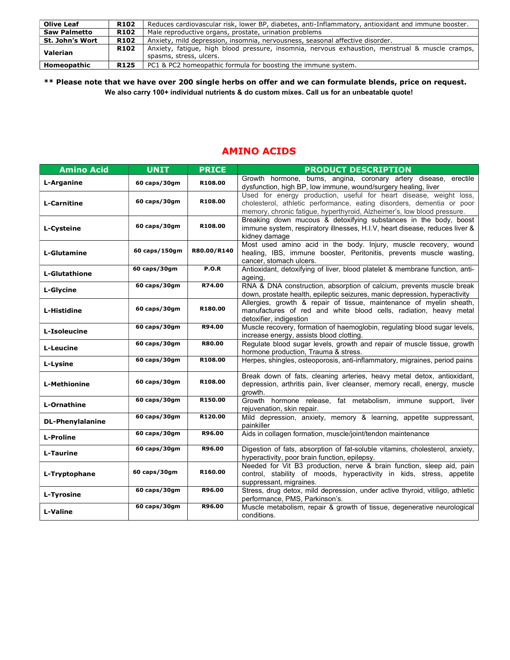| Olive Leaf          | <b>R102</b>      | Reduces cardiovascular risk, lower BP, diabetes, anti-Inflammatory, antioxidant and immune booster. |
|---------------------|------------------|-----------------------------------------------------------------------------------------------------|
| <b>Saw Palmetto</b> | <b>R102</b>      | Male reproductive organs, prostate, urination problems                                              |
| St. John's Wort     | R102             | Anxiety, mild depression, insomnia, nervousness, seasonal affective disorder.                       |
|                     | R <sub>102</sub> | Anxiety, fatigue, high blood pressure, insomnia, nervous exhaustion, menstrual & muscle cramps,     |
| Valerian            |                  | spasms, stress, ulcers.                                                                             |
| Homeopathic         | <b>R125</b>      | PC1 & PC2 homeopathic formula for boosting the immune system.                                       |
|                     |                  |                                                                                                     |

\*\* Please note that we have over 200 single herbs on offer and we can formulate blends, price on request. We also carry 100+ individual nutrients & do custom mixes. Call us for an unbeatable quote!

## AMINO ACIDS

| <b>Amino Acid</b>       | <b>UNIT</b>   | <b>PRICE</b>  | <b>PRODUCT DESCRIPTION</b>                                                                                                                                                                                             |
|-------------------------|---------------|---------------|------------------------------------------------------------------------------------------------------------------------------------------------------------------------------------------------------------------------|
| L-Arganine              | 60 caps/30gm  | R108.00       | Growth hormone, burns, angina, coronary artery disease, erectile<br>dysfunction, high BP, low immune, wound/surgery healing, liver                                                                                     |
| <b>L-Carnitine</b>      | 60 caps/30gm  | R108.00       | Used for energy production, useful for heart disease, weight loss,<br>cholesterol, athletic performance, eating disorders, dementia or poor<br>memory, chronic fatigue, hyperthyroid, Alzheimer's, low blood pressure. |
| L-Cysteine              | 60 caps/30gm  | R108.00       | Breaking down mucous & detoxifying substances in the body, boost<br>immune system, respiratory illnesses, H.I.V, heart disease, reduces liver &<br>kidney damage                                                       |
| <b>L-Glutamine</b>      | 60 caps/150gm | R80.00/R140   | Most used amino acid in the body. Injury, muscle recovery, wound<br>healing, IBS, immune booster, Peritonitis, prevents muscle wasting,<br>cancer, stomach ulcers.                                                     |
| <b>L-Glutathione</b>    | 60 caps/30gm  | P.O.R         | Antioxidant, detoxifying of liver, blood platelet & membrane function, anti-<br>ageing,                                                                                                                                |
| <b>L-Glycine</b>        | 60 caps/30gm  | R74.00        | RNA & DNA construction, absorption of calcium, prevents muscle break<br>down, prostate health, epileptic seizures, manic depression, hyperactivity                                                                     |
| L-Histidine             | 60 caps/30gm  | R180.00       | Allergies, growth & repair of tissue, maintenance of myelin sheath,<br>manufactures of red and white blood cells, radiation, heavy metal<br>detoxifier, indigestion                                                    |
| L-Isoleucine            | 60 caps/30gm  | R94.00        | Muscle recovery, formation of haemoglobin, regulating blood sugar levels,<br>increase energy, assists blood clotting.                                                                                                  |
| L-Leucine               | 60 caps/30gm  | <b>R80.00</b> | Regulate blood sugar levels, growth and repair of muscle tissue, growth<br>hormone production, Trauma & stress.                                                                                                        |
| L-Lysine                | 60 caps/30gm  | R108.00       | Herpes, shingles, osteoporosis, anti-inflammatory, migraines, period pains                                                                                                                                             |
| <b>L-Methionine</b>     | 60 caps/30gm  | R108.00       | Break down of fats, cleaning arteries, heavy metal detox, antioxidant,<br>depression, arthritis pain, liver cleanser, memory recall, energy, muscle<br>growth.                                                         |
| L-Ornathine             | 60 caps/30gm  | R150.00       | Growth hormone release, fat metabolism, immune support, liver<br>rejuvenation, skin repair.                                                                                                                            |
| <b>DL-Phenylalanine</b> | 60 caps/30gm  | R120.00       | Mild depression, anxiety, memory & learning, appetite suppressant,<br>painkiller                                                                                                                                       |
| <b>L-Proline</b>        | 60 caps/30gm  | R96.00        | Aids in collagen formation, muscle/joint/tendon maintenance                                                                                                                                                            |
| L-Taurine               | 60 caps/30gm  | R96.00        | Digestion of fats, absorption of fat-soluble vitamins, cholesterol, anxiety,<br>hyperactivity, poor brain function, epilepsy.                                                                                          |
| L-Tryptophane           | 60 caps/30gm  | R160.00       | Needed for Vit B3 production, nerve & brain function, sleep aid, pain<br>control, stability of moods, hyperactivity in kids, stress, appetite<br>suppressant, migraines.                                               |
| L-Tyrosine              | 60 caps/30gm  | R96.00        | Stress, drug detox, mild depression, under active thyroid, vitiligo, athletic<br>performance, PMS, Parkinson's.                                                                                                        |
| <b>L-Valine</b>         | 60 caps/30gm  | R96.00        | Muscle metabolism, repair & growth of tissue, degenerative neurological<br>conditions.                                                                                                                                 |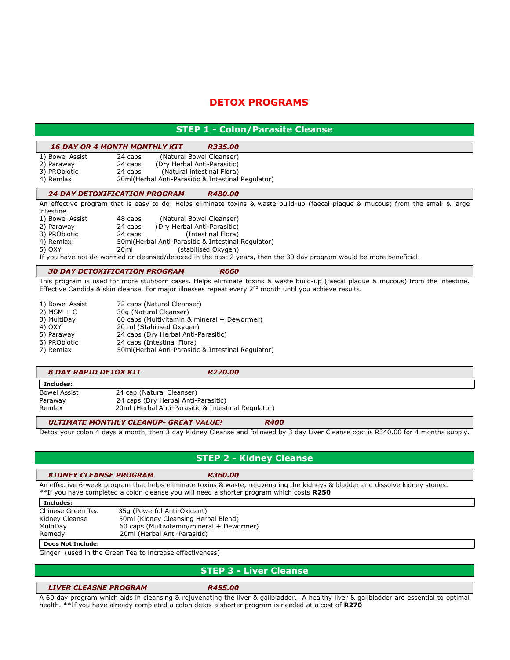## DETOX PROGRAMS

## STEP 1 - Colon/Parasite Cleanse

#### 16 DAY OR 4 MONTH MONTHLY KIT R335.00

| 1) Bowel Assist | 24 caps | (Natural Bowel Cleanser)                           |
|-----------------|---------|----------------------------------------------------|
| 2) Paraway      | 24 caps | (Dry Herbal Anti-Parasitic)                        |
| 3) PRObiotic    | 24 caps | (Natural intestinal Flora)                         |
| 4) Remlax       |         | 20ml(Herbal Anti-Parasitic & Intestinal Regulator) |

#### 24 DAY DETOXIFICATION PROGRAM R480.00

An effective program that is easy to do! Helps eliminate toxins & waste build-up (faecal plaque & mucous) from the small & large intestine.

| 1) Bowel Ass |  |
|--------------|--|
| 2) Paraway   |  |

| 1) Bowel Assist                           | 48 caps           | (Natural Bowel Cleanser)                                                                      |
|-------------------------------------------|-------------------|-----------------------------------------------------------------------------------------------|
| 2) Paraway                                | 24 caps           | (Dry Herbal Anti-Parasitic)                                                                   |
| $\sim$ $\sim$ $\sim$ $\sim$ $\sim$ $\sim$ | <b>P</b> <i>A</i> | $\mathcal{L}$ . $\mathcal{L}$ . $\mathcal{L}$ . $\mathcal{L}$ . $\mathcal{L}$ . $\mathcal{L}$ |

3) PRObiotic 24 caps (Intestinal Flora)<br>4) Remlax 50ml(Herbal Anti-Parasitic & Intestinal

50ml(Herbal Anti-Parasitic & Intestinal Regulator) 5) OXY 20ml (stabilised Oxygen)

If you have not de-wormed or cleansed/detoxed in the past 2 years, then the 30 day program would be more beneficial.

#### 30 DAY DETOXIFICATION PROGRAM R660

This program is used for more stubborn cases. Helps eliminate toxins & waste build-up (faecal plaque & mucous) from the intestine. Effective Candida & skin cleanse. For major illnesses repeat every 2<sup>nd</sup> month until you achieve results.

| 1) Bowel Assist | 72 caps (Natural Cleanser)                         |
|-----------------|----------------------------------------------------|
| $2)$ MSM + C    | 30q (Natural Cleanser)                             |
| 3) MultiDay     | 60 caps (Multivitamin & mineral + Dewormer)        |
| 4) OXY          | 20 ml (Stabilised Oxygen)                          |
| 5) Paraway      | 24 caps (Dry Herbal Anti-Parasitic)                |
| 6) PRObiotic    | 24 caps (Intestinal Flora)                         |
| 7) Remlax       | 50ml(Herbal Anti-Parasitic & Intestinal Regulator) |
|                 |                                                    |

#### 8 DAY RAPID DETOX KIT R220.00

| l Includes:         |                                                     |
|---------------------|-----------------------------------------------------|
| <b>Bowel Assist</b> | 24 cap (Natural Cleanser)                           |
| Paraway             | 24 caps (Dry Herbal Anti-Parasitic)                 |
| Remlax              | 20ml (Herbal Anti-Parasitic & Intestinal Regulator) |

#### ULTIMATE MONTHLY CLEANUP- GREAT VALUE! R400

Detox your colon 4 days a month, then 3 day Kidney Cleanse and followed by 3 day Liver Cleanse cost is R340.00 for 4 months supply.

## STEP 2 - Kidney Cleanse

#### KIDNEY CLEANSE PROGRAM R360.00

An effective 6-week program that helps eliminate toxins & waste, rejuvenating the kidneys & bladder and dissolve kidney stones. \*\*If you have completed a colon cleanse you will need a shorter program which costs R250

#### Includes:

| Chinese Green Tea | 35g (Powerful Anti-Oxidant)               |
|-------------------|-------------------------------------------|
| Kidney Cleanse    | 50ml (Kidney Cleansing Herbal Blend)      |
| MultiDay          | 60 caps (Multivitamin/mineral + Dewormer) |
| Remedy            | 20ml (Herbal Anti-Parasitic)              |
|                   |                                           |

#### Does Not Include:

Ginger (used in the Green Tea to increase effectiveness)

## STEP 3 - Liver Cleanse

#### LIVER CLEASNE PROGRAM R455.00

A 60 day program which aids in cleansing & rejuvenating the liver & gallbladder. A healthy liver & gallbladder are essential to optimal health. \*\*If you have already completed a colon detox a shorter program is needed at a cost of R270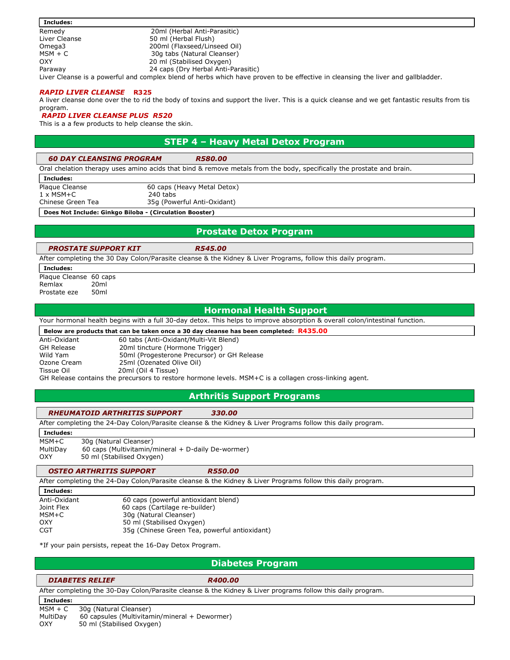| Includes:                                                                                                                        |                                     |  |
|----------------------------------------------------------------------------------------------------------------------------------|-------------------------------------|--|
| Remedy                                                                                                                           | 20ml (Herbal Anti-Parasitic)        |  |
| Liver Cleanse                                                                                                                    | 50 ml (Herbal Flush)                |  |
| Omega3                                                                                                                           | 200ml (Flaxseed/Linseed Oil)        |  |
| MSM + C                                                                                                                          | 30g tabs (Natural Cleanser)         |  |
| <b>OXY</b>                                                                                                                       | 20 ml (Stabilised Oxygen)           |  |
| Paraway                                                                                                                          | 24 caps (Dry Herbal Anti-Parasitic) |  |
| Liver Cleanse is a powerful and complex blend of herbs which have proven to be effective in cleansing the liver and gallbladder. |                                     |  |

#### RAPID LIVER CLEANSE R325

A liver cleanse done over the to rid the body of toxins and support the liver. This is a quick cleanse and we get fantastic results from tis program.

#### RAPID LIVER CLEANSE PLUS R520

This is a a few products to help cleanse the skin.

## STEP 4 – Heavy Metal Detox Program

#### 60 DAY CLEANSING PROGRAM R580.00

Oral chelation therapy uses amino acids that bind & remove metals from the body, specifically the prostate and brain.

Includes:

Plaque Cleanse 60 caps (Heavy Metal Detox) 1 x MSM+C 240 tabs Chinese Green Tea 35g (Powerful Anti-Oxidant)

Does Not Include: Ginkgo Biloba - (Circulation Booster)

### Prostate Detox Program

#### PROSTATE SUPPORT KIT R545.00

After completing the 30 Day Colon/Parasite cleanse & the Kidney & Liver Programs, follow this daily program.

Includes:

Plaque Cleanse 60 caps Remlax 20ml Prostate eze 50ml

#### Hormonal Health Support

Your hormonal health begins with a full 30-day detox. This helps to improve absorption & overall colon/intestinal function.

#### Below are products that can be taken once a 30 day cleanse has been completed: R435.00

Tissue Oil 20ml (Oil 4 Tissue)

Anti-Oxidant 60 tabs (Anti-Oxidant/Multi-Vit Blend)<br>
GH Release 20ml tincture (Hormone Trigger) 20ml tincture (Hormone Trigger) Wild Yam 50ml (Progesterone Precursor) or GH Release Ozone Cream 25ml (Ozenated Olive Oil)

GH Release contains the precursors to restore hormone levels. MSM+C is a collagen cross-linking agent.

#### Arthritis Support Programs

#### RHEUMATOID ARTHRITIS SUPPORT 330.00

After completing the 24-Day Colon/Parasite cleanse & the Kidney & Liver Programs follow this daily program.

Includes:

| MSM+C    | 30g (Natural Cleanser)                               |
|----------|------------------------------------------------------|
| MultiDay | 60 caps (Multivitamin/mineral $+$ D-daily De-wormer) |
| OXY      | 50 ml (Stabilised Oxygen)                            |

OSTEO ARTHRITIS SUPPORT R550.00

After completing the 24-Day Colon/Parasite cleanse & the Kidney & Liver Programs follow this daily program.

| ш<br>н | н<br>п | н |  |  |
|--------|--------|---|--|--|
|        |        |   |  |  |

| ---------    |                                               |
|--------------|-----------------------------------------------|
| Anti-Oxidant | 60 caps (powerful antioxidant blend)          |
| Joint Flex   | 60 caps (Cartilage re-builder)                |
| MSM+C        | 30g (Natural Cleanser)                        |
| OXY          | 50 ml (Stabilised Oxygen)                     |
| CGT          | 35g (Chinese Green Tea, powerful antioxidant) |

\*If your pain persists, repeat the 16-Day Detox Program.

## Diabetes Program

### DIABETES RELIEF R400.00

After completing the 30-Day Colon/Parasite cleanse & the Kidney & Liver programs follow this daily program.

Includes: MSM + C 30g (Natural Cleanser) MultiDay 60 capsules (Multivitamin/mineral + Dewormer) OXY 50 ml (Stabilised Oxygen)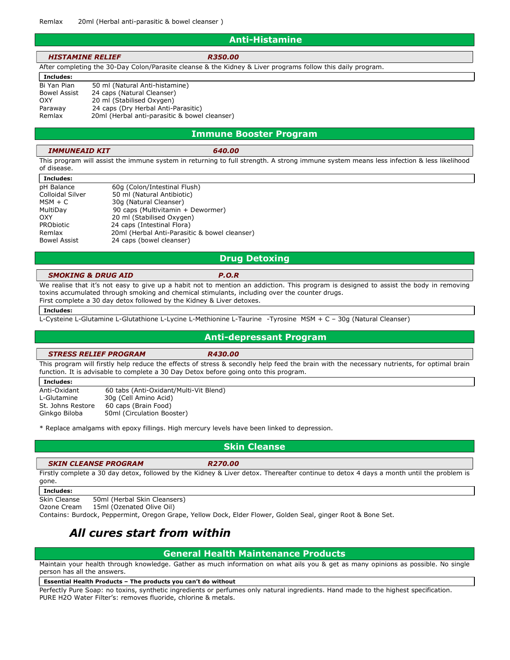#### Anti-Histamine

| <b>HISTAMINE RELIEF</b>                                                                                     | <b>R350.00</b> |  |
|-------------------------------------------------------------------------------------------------------------|----------------|--|
| After completing the 30-Day Colon/Parasite cleanse & the Kidney & Liver programs follow this daily program. |                |  |
| Includes:                                                                                                   |                |  |

Bi Yan Pian 50 ml (Natural Anti-histamine) Bowel Assist 24 caps (Natural Cleanser) OXY 20 ml (Stabilised Oxygen) Paraway 24 caps (Dry Herbal Anti-Parasitic) Remlax 20ml (Herbal anti-parasitic & bowel cleanser)

#### Immune Booster Program

#### IMMUNEAID KIT 640.00

This program will assist the immune system in returning to full strength. A strong immune system means less infection & less likelihood of disease.

| Includes:           |                                               |
|---------------------|-----------------------------------------------|
| pH Balance          | 60q (Colon/Intestinal Flush)                  |
| Colloidal Silver    | 50 ml (Natural Antibiotic)                    |
| $MSM + C$           | 30g (Natural Cleanser)                        |
| MultiDay            | 90 caps (Multivitamin + Dewormer)             |
| OXY                 | 20 ml (Stabilised Oxygen)                     |
| <b>PRObiotic</b>    | 24 caps (Intestinal Flora)                    |
| Remlax              | 20ml (Herbal Anti-Parasitic & bowel cleanser) |
| <b>Bowel Assist</b> | 24 caps (bowel cleanser)                      |
|                     |                                               |

#### Drug Detoxing

#### SMOKING & DRUG AID **P.O.R**

We realise that it's not easy to give up a habit not to mention an addiction. This program is designed to assist the body in removing toxins accumulated through smoking and chemical stimulants, including over the counter drugs. First complete a 30 day detox followed by the Kidney & Liver detoxes.

#### Includes:

L-Cysteine L-Glutamine L-Glutathione L-Lycine L-Methionine L-Taurine -Tyrosine MSM + C – 30g (Natural Cleanser)

#### Anti-depressant Program

#### STRESS RELIEF PROGRAM R430.00

This program will firstly help reduce the effects of stress & secondly help feed the brain with the necessary nutrients, for optimal brain function. It is advisable to complete a 30 Day Detox before going onto this program.

| Includes:         |                                        |
|-------------------|----------------------------------------|
| Anti-Oxidant      | 60 tabs (Anti-Oxidant/Multi-Vit Blend) |
| L-Glutamine       | 30g (Cell Amino Acid)                  |
| St. Johns Restore | 60 caps (Brain Food)                   |
| Ginkgo Biloba     | 50ml (Circulation Booster)             |

\* Replace amalgams with epoxy fillings. High mercury levels have been linked to depression.

#### Skin Cleanse

#### SKIN CLEANSE PROGRAM R270.00

Firstly complete a 30 day detox, followed by the Kidney & Liver detox. Thereafter continue to detox 4 days a month until the problem is gone.

#### Includes:

Skin Cleanse 50ml (Herbal Skin Cleansers)

Ozone Cream 15ml (Ozenated Olive Oil)

Contains: Burdock, Peppermint, Oregon Grape, Yellow Dock, Elder Flower, Golden Seal, ginger Root & Bone Set.

## All cures start from within

### General Health Maintenance Products

Maintain your health through knowledge. Gather as much information on what ails you & get as many opinions as possible. No single person has all the answers.

#### Essential Health Products – The products you can't do without

Perfectly Pure Soap: no toxins, synthetic ingredients or perfumes only natural ingredients. Hand made to the highest specification. PURE H2O Water Filter's: removes fluoride, chlorine & metals.